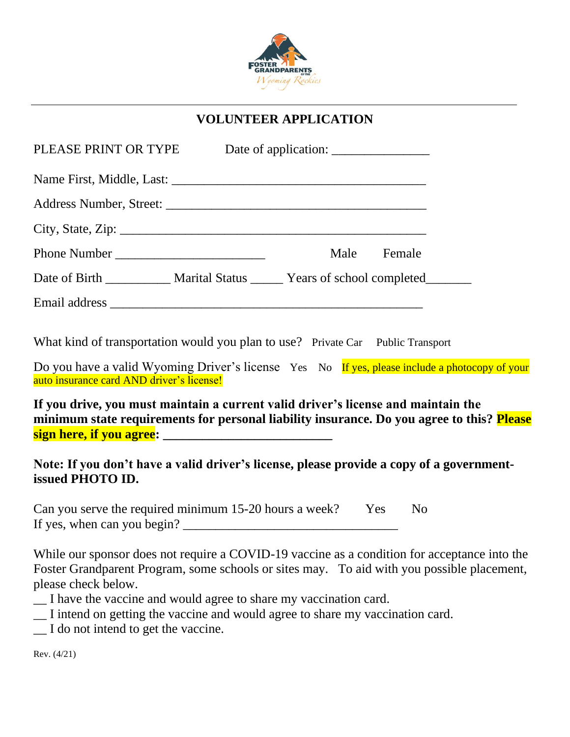

# **VOLUNTEER APPLICATION**

|                                                                                   | Male | Female |
|-----------------------------------------------------------------------------------|------|--------|
| Date of Birth ____________ Marital Status ______ Years of school completed_______ |      |        |
|                                                                                   |      |        |

What kind of transportation would you plan to use? Private Car Public Transport

Do you have a valid Wyoming Driver's license Yes No If yes, please include a photocopy of your auto insurance card AND driver's license!

**If you drive, you must maintain a current valid driver's license and maintain the minimum state requirements for personal liability insurance. Do you agree to this? Please sign here, if you agree:** 

# **Note: If you don't have a valid driver's license, please provide a copy of a governmentissued PHOTO ID.**

| Can you serve the required minimum 15-20 hours a week? | Yes No |  |
|--------------------------------------------------------|--------|--|
| If yes, when can you begin?                            |        |  |

While our sponsor does not require a COVID-19 vaccine as a condition for acceptance into the Foster Grandparent Program, some schools or sites may. To aid with you possible placement, please check below.

- \_\_ I have the vaccine and would agree to share my vaccination card.
- \_\_ I intend on getting the vaccine and would agree to share my vaccination card.
- \_\_ I do not intend to get the vaccine.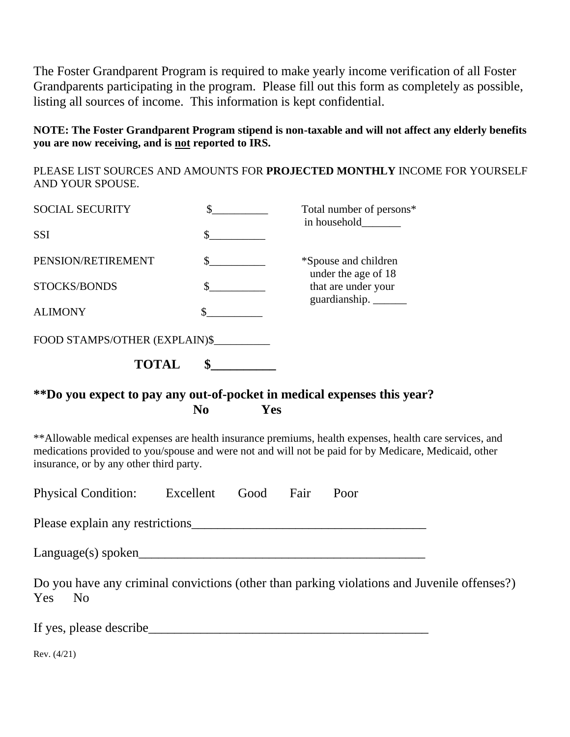The Foster Grandparent Program is required to make yearly income verification of all Foster Grandparents participating in the program. Please fill out this form as completely as possible, listing all sources of income. This information is kept confidential.

#### **NOTE: The Foster Grandparent Program stipend is non-taxable and will not affect any elderly benefits you are now receiving, and is not reported to IRS.**

PLEASE LIST SOURCES AND AMOUNTS FOR **PROJECTED MONTHLY** INCOME FOR YOURSELF AND YOUR SPOUSE.

| <b>SOCIAL SECURITY</b>        | Total number of persons*<br>in household    |
|-------------------------------|---------------------------------------------|
| <b>SSI</b>                    |                                             |
| PENSION/RETIREMENT            | *Spouse and children<br>under the age of 18 |
| STOCKS/BONDS                  | that are under your<br>guardianship.        |
| <b>ALIMONY</b>                |                                             |
| FOOD STAMPS/OTHER (EXPLAIN)\$ |                                             |
| <b>TOTAL</b>                  |                                             |

### **\*\*Do you expect to pay any out-of-pocket in medical expenses this year? No Yes**

\*\*Allowable medical expenses are health insurance premiums, health expenses, health care services, and medications provided to you/spouse and were not and will not be paid for by Medicare, Medicaid, other insurance, or by any other third party.

|  | <b>Physical Condition:</b> | Excellent | Good | Fair | Poor |
|--|----------------------------|-----------|------|------|------|
|--|----------------------------|-----------|------|------|------|

Please explain any restrictions

 $Language(s)$  spoken

Do you have any criminal convictions (other than parking violations and Juvenile offenses?) Yes No

If yes, please describe\_\_\_\_\_\_\_\_\_\_\_\_\_\_\_\_\_\_\_\_\_\_\_\_\_\_\_\_\_\_\_\_\_\_\_\_\_\_\_\_\_\_\_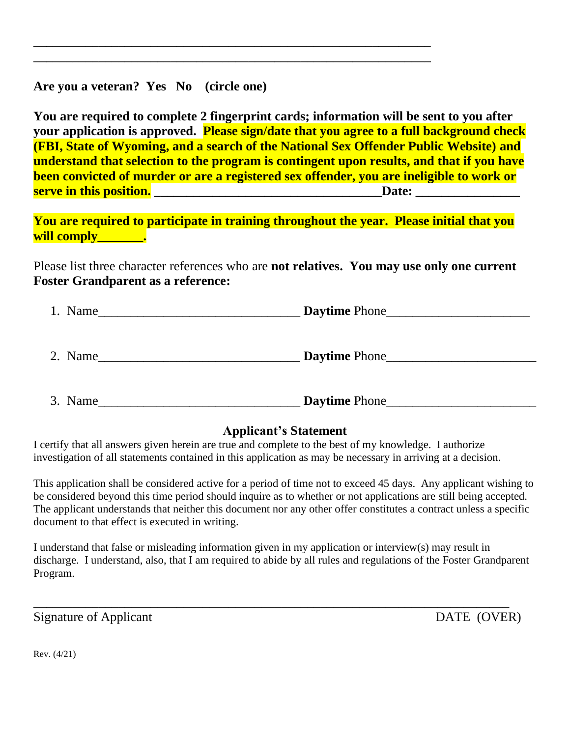**Are you a veteran? Yes No (circle one)**

**You are required to complete 2 fingerprint cards; information will be sent to you after your application is approved. Please sign/date that you agree to a full background check (FBI, State of Wyoming, and a search of the National Sex Offender Public Website) and understand that selection to the program is contingent upon results, and that if you have been convicted of murder or are a registered sex offender, you are ineligible to work or serve in this position. \_\_\_\_\_\_\_\_\_\_\_\_\_\_\_\_\_\_\_\_\_\_\_\_\_\_\_\_\_\_\_\_\_\_\_Date: \_\_\_\_\_\_\_\_\_\_\_\_\_\_\_\_**

 $\overline{a_1}$  ,  $\overline{a_2}$  ,  $\overline{a_3}$  ,  $\overline{a_4}$  ,  $\overline{a_5}$  ,  $\overline{a_6}$  ,  $\overline{a_7}$  ,  $\overline{a_8}$  ,  $\overline{a_9}$  ,  $\overline{a_9}$  ,  $\overline{a_9}$  ,  $\overline{a_9}$  ,  $\overline{a_9}$  ,  $\overline{a_9}$  ,  $\overline{a_9}$  ,  $\overline{a_9}$  ,  $\overline{a_9}$  , \_\_\_\_\_\_\_\_\_\_\_\_\_\_\_\_\_\_\_\_\_\_\_\_\_\_\_\_\_\_\_\_\_\_\_\_\_\_\_\_\_\_\_\_\_\_\_\_\_\_\_\_\_\_\_\_\_\_\_\_\_

**You are required to participate in training throughout the year. Please initial that you will comply\_\_\_\_\_\_\_.**

Please list three character references who are **not relatives. You may use only one current Foster Grandparent as a reference:**

| 1. Name<br><u> 1980 - John Stein, Amerikaansk politik fan de Amerikaansk kommunister (</u> |                                                                   |
|--------------------------------------------------------------------------------------------|-------------------------------------------------------------------|
|                                                                                            |                                                                   |
|                                                                                            |                                                                   |
| 2. Name                                                                                    | <b>Daytime Phone</b><br><u> 1980 - Jan Barnett, mars et al. (</u> |
|                                                                                            |                                                                   |
|                                                                                            |                                                                   |
| 3. Name                                                                                    | <b>Daytime Phone</b>                                              |

#### **Applicant's Statement**

I certify that all answers given herein are true and complete to the best of my knowledge. I authorize investigation of all statements contained in this application as may be necessary in arriving at a decision.

This application shall be considered active for a period of time not to exceed 45 days. Any applicant wishing to be considered beyond this time period should inquire as to whether or not applications are still being accepted. The applicant understands that neither this document nor any other offer constitutes a contract unless a specific document to that effect is executed in writing.

I understand that false or misleading information given in my application or interview(s) may result in discharge. I understand, also, that I am required to abide by all rules and regulations of the Foster Grandparent Program.

\_\_\_\_\_\_\_\_\_\_\_\_\_\_\_\_\_\_\_\_\_\_\_\_\_\_\_\_\_\_\_\_\_\_\_\_\_\_\_\_\_\_\_\_\_\_\_\_\_\_\_\_\_\_\_\_\_\_\_\_\_\_\_\_\_\_\_\_\_\_\_\_\_

Signature of Applicant DATE (OVER)